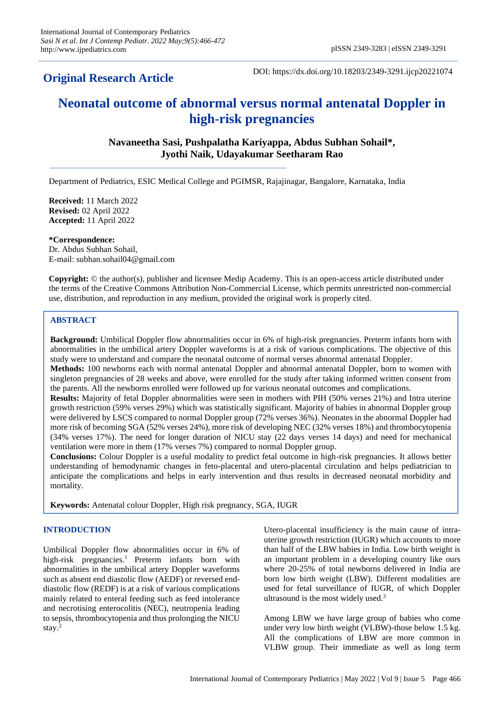## **Original Research Article**

DOI: https://dx.doi.org/10.18203/2349-3291.ijcp20221074

# **Neonatal outcome of abnormal versus normal antenatal Doppler in high-risk pregnancies**

## **Navaneetha Sasi, Pushpalatha Kariyappa, Abdus Subhan Sohail\*, Jyothi Naik, Udayakumar Seetharam Rao**

Department of Pediatrics, ESIC Medical College and PGIMSR, Rajajinagar, Bangalore, Karnataka, India

**Received:** 11 March 2022 **Revised:** 02 April 2022 **Accepted:** 11 April 2022

#### **\*Correspondence:**

Dr. Abdus Subhan Sohail, E-mail: subhan.sohail04@gmail.com

**Copyright:** © the author(s), publisher and licensee Medip Academy. This is an open-access article distributed under the terms of the Creative Commons Attribution Non-Commercial License, which permits unrestricted non-commercial use, distribution, and reproduction in any medium, provided the original work is properly cited.

### **ABSTRACT**

**Background:** Umbilical Doppler flow abnormalities occur in 6% of high-risk pregnancies. Preterm infants born with abnormalities in the umbilical artery Doppler waveforms is at a risk of various complications. The objective of this study were to understand and compare the neonatal outcome of normal verses abnormal antenatal Doppler.

**Methods:** 100 newborns each with normal antenatal Doppler and abnormal antenatal Doppler, born to women with singleton pregnancies of 28 weeks and above, were enrolled for the study after taking informed written consent from the parents. All the newborns enrolled were followed up for various neonatal outcomes and complications.

**Results:** Majority of fetal Doppler abnormalities were seen in mothers with PIH (50% verses 21%) and Intra uterine growth restriction (59% verses 29%) which was statistically significant. Majority of babies in abnormal Doppler group were delivered by LSCS compared to normal Doppler group (72% verses 36%). Neonates in the abnormal Doppler had more risk of becoming SGA (52% verses 24%), more risk of developing NEC (32% verses 18%) and thrombocytopenia (34% verses 17%). The need for longer duration of NICU stay (22 days verses 14 days) and need for mechanical ventilation were more in them (17% verses 7%) compared to normal Doppler group.

**Conclusions:** Colour Doppler is a useful modality to predict fetal outcome in high-risk pregnancies. It allows better understanding of hemodynamic changes in feto-placental and utero-placental circulation and helps pediatrician to anticipate the complications and helps in early intervention and thus results in decreased neonatal morbidity and mortality.

**Keywords:** Antenatal colour Doppler, High risk pregnancy, SGA, IUGR

#### **INTRODUCTION**

Umbilical Doppler flow abnormalities occur in 6% of high-risk pregnancies.<sup>1</sup> Preterm infants born with abnormalities in the umbilical artery Doppler waveforms such as absent end diastolic flow (AEDF) or reversed enddiastolic flow (REDF) is at a risk of various complications mainly related to enteral feeding such as feed intolerance and necrotising enterocolitis (NEC), neutropenia leading to sepsis, thrombocytopenia and thus prolonging the NICU stay.<sup>2</sup>

Utero-placental insufficiency is the main cause of intrauterine growth restriction (IUGR) which accounts to more than half of the LBW babies in India. Low birth weight is an important problem in a developing country like ours where 20-25% of total newborns delivered in India are born low birth weight (LBW). Different modalities are used for fetal surveillance of IUGR, of which Doppler ultrasound is the most widely used.<sup>3</sup>

Among LBW we have large group of babies who come under very low birth weight (VLBW)-those below 1.5 kg. All the complications of LBW are more common in VLBW group. Their immediate as well as long term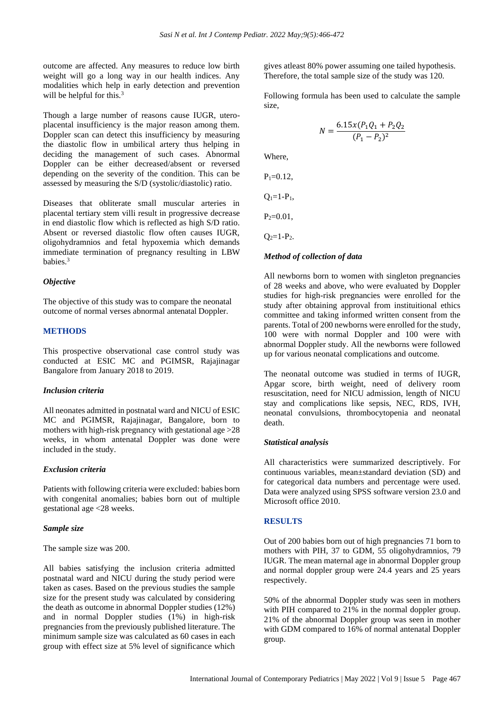outcome are affected. Any measures to reduce low birth weight will go a long way in our health indices. Any modalities which help in early detection and prevention will be helpful for this.<sup>3</sup>

Though a large number of reasons cause IUGR, uteroplacental insufficiency is the major reason among them. Doppler scan can detect this insufficiency by measuring the diastolic flow in umbilical artery thus helping in deciding the management of such cases. Abnormal Doppler can be either decreased/absent or reversed depending on the severity of the condition. This can be assessed by measuring the S/D (systolic/diastolic) ratio.

Diseases that obliterate small muscular arteries in placental tertiary stem villi result in progressive decrease in end diastolic flow which is reflected as high S/D ratio. Absent or reversed diastolic flow often causes IUGR, oligohydramnios and fetal hypoxemia which demands immediate termination of pregnancy resulting in LBW babies.<sup>3</sup>

## *Objective*

The objective of this study was to compare the neonatal outcome of normal verses abnormal antenatal Doppler.

## **METHODS**

This prospective observational case control study was conducted at ESIC MC and PGIMSR, Rajajinagar Bangalore from January 2018 to 2019.

#### *Inclusion criteria*

All neonates admitted in postnatal ward and NICU of ESIC MC and PGIMSR, Rajajinagar, Bangalore, born to mothers with high-risk pregnancy with gestational age >28 weeks, in whom antenatal Doppler was done were included in the study.

#### *Exclusion criteria*

Patients with following criteria were excluded: babies born with congenital anomalies; babies born out of multiple gestational age <28 weeks.

#### *Sample size*

The sample size was 200.

All babies satisfying the inclusion criteria admitted postnatal ward and NICU during the study period were taken as cases. Based on the previous studies the sample size for the present study was calculated by considering the death as outcome in abnormal Doppler studies (12%) and in normal Doppler studies (1%) in high-risk pregnancies from the previously published literature. The minimum sample size was calculated as 60 cases in each group with effect size at 5% level of significance which

gives atleast 80% power assuming one tailed hypothesis. Therefore, the total sample size of the study was 120.

Following formula has been used to calculate the sample size,

$$
N = \frac{6.15x(P_1Q_1 + P_2Q_2)}{(P_1 - P_2)^2}
$$

Where,

 $P_1 = 0.12$ ,

 $Q_1 = 1 - P_1$ ,

 $P_2=0.01$ ,

 $Q_2=1-P_2$ .

#### *Method of collection of data*

All newborns born to women with singleton pregnancies of 28 weeks and above, who were evaluated by Doppler studies for high-risk pregnancies were enrolled for the study after obtaining approval from instituitional ethics committee and taking informed written consent from the parents. Total of 200 newborns were enrolled for the study, 100 were with normal Doppler and 100 were with abnormal Doppler study. All the newborns were followed up for various neonatal complications and outcome.

The neonatal outcome was studied in terms of IUGR, Apgar score, birth weight, need of delivery room resuscitation, need for NICU admission, length of NICU stay and complications like sepsis, NEC, RDS, IVH, neonatal convulsions, thrombocytopenia and neonatal death.

#### *Statistical analysis*

All characteristics were summarized descriptively. For continuous variables, mean±standard deviation (SD) and for categorical data numbers and percentage were used. Data were analyzed using SPSS software version 23.0 and Microsoft office 2010.

#### **RESULTS**

Out of 200 babies born out of high pregnancies 71 born to mothers with PIH, 37 to GDM, 55 oligohydramnios, 79 IUGR. The mean maternal age in abnormal Doppler group and normal doppler group were 24.4 years and 25 years respectively.

50% of the abnormal Doppler study was seen in mothers with PIH compared to 21% in the normal doppler group. 21% of the abnormal Doppler group was seen in mother with GDM compared to 16% of normal antenatal Doppler group.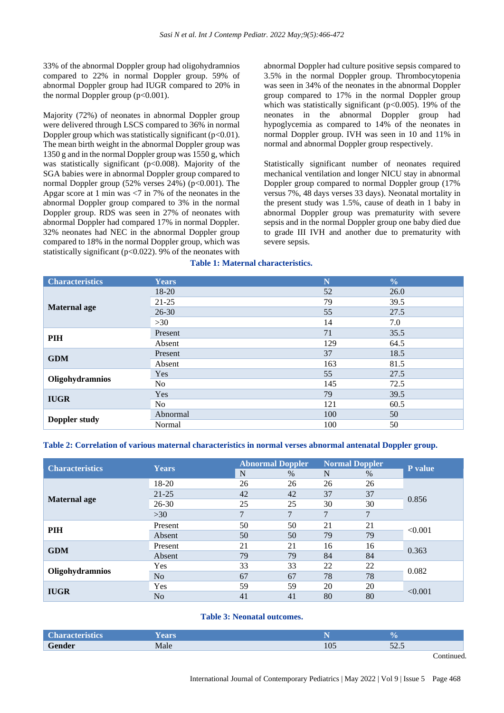33% of the abnormal Doppler group had oligohydramnios compared to 22% in normal Doppler group. 59% of abnormal Doppler group had IUGR compared to 20% in the normal Doppler group  $(p<0.001)$ .

Majority (72%) of neonates in abnormal Doppler group were delivered through LSCS compared to 36% in normal Doppler group which was statistically significant  $(p<0.01)$ . The mean birth weight in the abnormal Doppler group was 1350 g and in the normal Doppler group was 1550 g, which was statistically significant ( $p<0.008$ ). Majority of the SGA babies were in abnormal Doppler group compared to normal Doppler group  $(52\% \text{ versus } 24\%)$  (p<0.001). The Apgar score at 1 min was  $\langle 7 \text{ in } 7\%$  of the neonates in the abnormal Doppler group compared to 3% in the normal Doppler group. RDS was seen in 27% of neonates with abnormal Doppler had compared 17% in normal Doppler. 32% neonates had NEC in the abnormal Doppler group compared to 18% in the normal Doppler group, which was statistically significant ( $p<0.022$ ). 9% of the neonates with abnormal Doppler had culture positive sepsis compared to 3.5% in the normal Doppler group. Thrombocytopenia was seen in 34% of the neonates in the abnormal Doppler group compared to 17% in the normal Doppler group which was statistically significant ( $p<0.005$ ). 19% of the neonates in the abnormal Doppler group had hypoglycemia as compared to 14% of the neonates in normal Doppler group. IVH was seen in 10 and 11% in normal and abnormal Doppler group respectively.

Statistically significant number of neonates required mechanical ventilation and longer NICU stay in abnormal Doppler group compared to normal Doppler group (17% versus 7%, 48 days verses 33 days). Neonatal mortality in the present study was 1.5%, cause of death in 1 baby in abnormal Doppler group was prematurity with severe sepsis and in the normal Doppler group one baby died due to grade III IVH and another due to prematurity with severe sepsis.

## **Table 1: Maternal characteristics.**

| <b>Characteristics</b> | <b>Years</b>   | N   | $\frac{0}{0}$ |
|------------------------|----------------|-----|---------------|
|                        | $18 - 20$      | 52  | 26.0          |
|                        | $21 - 25$      | 79  | 39.5          |
| <b>Maternal age</b>    | $26 - 30$      | 55  | 27.5          |
|                        | >30            | 14  | 7.0           |
| PIH                    | Present        | 71  | 35.5          |
|                        | Absent         | 129 | 64.5          |
| <b>GDM</b>             | Present        | 37  | 18.5          |
|                        | Absent         | 163 | 81.5          |
|                        | Yes            | 55  | 27.5          |
| Oligohydramnios        | N <sub>o</sub> | 145 | 72.5          |
| <b>IUGR</b>            | Yes            | 79  | 39.5          |
|                        | N <sub>o</sub> | 121 | 60.5          |
| Doppler study          | Abnormal       | 100 | 50            |
|                        | Normal         | 100 | 50            |

#### **Table 2: Correlation of various maternal characteristics in normal verses abnormal antenatal Doppler group.**

| <b>Characteristics</b> | <b>Years</b>   | <b>Abnormal Doppler</b> |      | <b>Normal Doppler</b> |      | P value |
|------------------------|----------------|-------------------------|------|-----------------------|------|---------|
|                        |                | N                       | $\%$ | N                     | $\%$ |         |
|                        | 18-20          | 26                      | 26   | 26                    | 26   |         |
|                        | $21 - 25$      | 42                      | 42   | 37                    | 37   |         |
| <b>Maternal age</b>    | $26 - 30$      | 25                      | 25   | 30                    | 30   | 0.856   |
|                        | >30            | ⇁                       | 7    | $\mathcal{I}$         | 7    |         |
|                        | Present        | 50                      | 50   | 21                    | 21   | < 0.001 |
| PIH                    | Absent         | 50                      | 50   | 79                    | 79   |         |
| <b>GDM</b>             | Present        | 21                      | 21   | 16                    | 16   | 0.363   |
|                        | Absent         | 79                      | 79   | 84                    | 84   |         |
| Oligohydramnios        | Yes            | 33                      | 33   | 22                    | 22   | 0.082   |
|                        | N <sub>o</sub> | 67                      | 67   | 78                    | 78   |         |
| <b>IUGR</b>            | Yes            | 59                      | 59   | 20                    | 20   | < 0.001 |
|                        | No             | 41                      | 41   | 80                    | 80   |         |

#### **Table 3: Neonatal outcomes.**

| <b>Characteristics</b> | ears |     |                           |
|------------------------|------|-----|---------------------------|
| Condor                 | Male | 105 | $\epsilon$<br><u>JZ.J</u> |

Continued.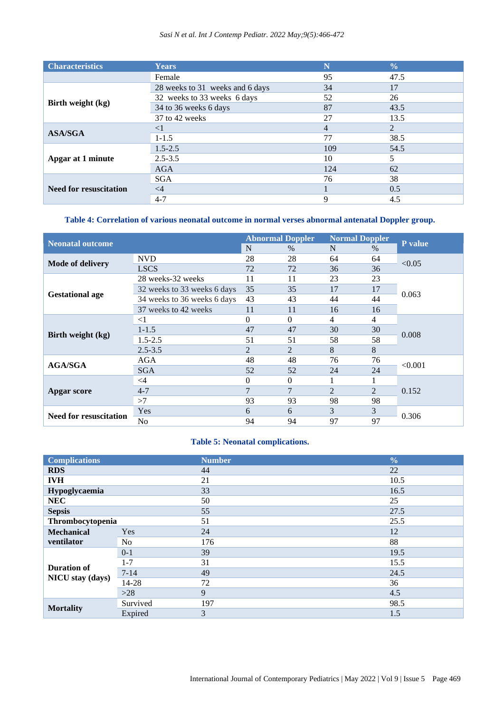## *Sasi N et al. Int J Contemp Pediatr. 2022 May;9(5):466-472*

| <b>Characteristics</b>        | <b>Years</b>                    | N              | $\frac{0}{0}$ |
|-------------------------------|---------------------------------|----------------|---------------|
|                               | Female                          | 95             | 47.5          |
|                               | 28 weeks to 31 weeks and 6 days | 34             | 17            |
|                               | 32 weeks to 33 weeks 6 days     | 52             | 26            |
| Birth weight (kg)             | 34 to 36 weeks 6 days           | 87             | 43.5          |
|                               | 37 to 42 weeks                  | 27             | 13.5          |
| <b>ASA/SGA</b>                | $<$ 1                           | $\overline{4}$ | 2             |
|                               | $1 - 1.5$                       | 77             | 38.5          |
|                               | $1.5 - 2.5$                     | 109            | 54.5          |
| Apgar at 1 minute             | $2.5 - 3.5$                     | 10             | 5             |
|                               | <b>AGA</b>                      | 124            | 62            |
| <b>Need for resuscitation</b> | <b>SGA</b>                      | 76             | 38            |
|                               | $\leq$ 4                        |                | 0.5           |
|                               | $4 - 7$                         | 9              | 4.5           |

## **Table 4: Correlation of various neonatal outcome in normal verses abnormal antenatal Doppler group.**

| <b>Neonatal outcome</b>       |                             | <b>Abnormal Doppler</b> |          | <b>Normal Doppler</b> |      |                |  |
|-------------------------------|-----------------------------|-------------------------|----------|-----------------------|------|----------------|--|
|                               |                             | N                       | $\%$     | N                     | $\%$ | <b>P</b> value |  |
|                               | <b>NVD</b>                  | 28                      | 28       | 64                    | 64   | < 0.05         |  |
| <b>Mode of delivery</b>       | <b>LSCS</b>                 | 72                      | 72       | 36                    | 36   |                |  |
|                               | 28 weeks-32 weeks           | 11                      | 11       | 23                    | 23   |                |  |
|                               | 32 weeks to 33 weeks 6 days | 35                      | 35       | 17                    | 17   | 0.063          |  |
| <b>Gestational age</b>        | 34 weeks to 36 weeks 6 days | 43                      | 43       | 44                    | 44   |                |  |
|                               | 37 weeks to 42 weeks        | 11                      | 11       | 16                    | 16   |                |  |
| Birth weight (kg)             | $\leq$ 1                    | $\Omega$                | $\theta$ | 4                     | 4    |                |  |
|                               | $1 - 1.5$                   | 47                      | 47       | 30                    | 30   | 0.008          |  |
|                               | $1.5 - 2.5$                 | 51                      | 51       | 58                    | 58   |                |  |
|                               | $2.5 - 3.5$                 | 2                       | 2        | 8                     | 8    |                |  |
|                               | AGA                         | 48                      | 48       | 76                    | 76   | < 0.001        |  |
| <b>AGA/SGA</b>                | <b>SGA</b>                  | 52                      | 52       | 24                    | 24   |                |  |
| Apgar score                   | $\leq$ 4                    | $\theta$                | $\theta$ |                       |      |                |  |
|                               | $4 - 7$                     | $\overline{7}$          | 7        | $\overline{2}$        | 2    | 0.152          |  |
|                               | >7                          | 93                      | 93       | 98                    | 98   |                |  |
| <b>Need for resuscitation</b> | Yes                         | 6                       | 6        | 3                     | 3    |                |  |
|                               | No                          | 94                      | 94       | 97                    | 97   | 0.306          |  |

## **Table 5: Neonatal complications.**

| <b>Complications</b>    |                | <b>Number</b> | $\frac{0}{0}$ |
|-------------------------|----------------|---------------|---------------|
| <b>RDS</b>              |                | 44            | 22            |
| <b>IVH</b>              |                | 21            | 10.5          |
| Hypoglycaemia           |                | 33            | 16.5          |
| <b>NEC</b>              |                | 50            | 25            |
| <b>Sepsis</b>           |                | 55            | 27.5          |
| Thrombocytopenia        |                | 51            | 25.5          |
| <b>Mechanical</b>       | Yes            | 24            | 12            |
| ventilator              | N <sub>o</sub> | 176           | 88            |
|                         | $0 - 1$        | 39            | 19.5          |
|                         | $1 - 7$        | 31            | 15.5          |
| <b>Duration of</b>      | $7 - 14$       | 49            | 24.5          |
| <b>NICU</b> stay (days) | 14-28          | 72            | 36            |
|                         | $>28$          | 9             | 4.5           |
|                         | Survived       | 197           | 98.5          |
| <b>Mortality</b>        | Expired        | 3             | 1.5           |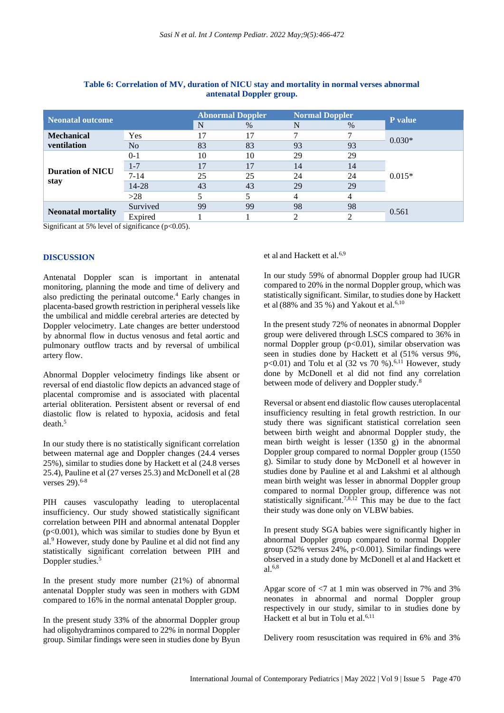| <b>Neonatal outcome</b>         |                | <b>Abnormal Doppler</b> |      | <b>Normal Doppler</b> |      |                |
|---------------------------------|----------------|-------------------------|------|-----------------------|------|----------------|
|                                 |                | N                       | $\%$ | N                     | $\%$ | <b>P</b> value |
| <b>Mechanical</b>               | Yes            | 17                      |      |                       |      |                |
| ventilation                     | N <sub>o</sub> | 83                      | 83   | 93                    | 93   | $0.030*$       |
| <b>Duration of NICU</b><br>stay | $0 - 1$        | 10                      | 10   | 29                    | 29   | $0.015*$       |
|                                 | $1 - 7$        | 17                      | 17   | 14                    | 14   |                |
|                                 | $7 - 14$       | 25                      | 25   | 24                    | 24   |                |
|                                 | 14-28          | 43                      | 43   | 29                    | 29   |                |
|                                 | >28            |                         | 5    | 4                     | 4    |                |
| <b>Neonatal mortality</b>       | Survived       | 99                      | 99   | 98                    | 98   |                |
|                                 | Expired        |                         |      |                       | ◠    | 0.561          |

## **Table 6: Correlation of MV, duration of NICU stay and mortality in normal verses abnormal antenatal Doppler group.**

Significant at 5% level of significance (p<0.05).

## **DISCUSSION**

Antenatal Doppler scan is important in antenatal monitoring, planning the mode and time of delivery and also predicting the perinatal outcome.<sup>4</sup> Early changes in placenta-based growth restriction in peripheral vessels like the umbilical and middle cerebral arteries are detected by Doppler velocimetry. Late changes are better understood by abnormal flow in ductus venosus and fetal aortic and pulmonary outflow tracts and by reversal of umbilical artery flow.

Abnormal Doppler velocimetry findings like absent or reversal of end diastolic flow depicts an advanced stage of placental compromise and is associated with placental arterial obliteration. Persistent absent or reversal of end diastolic flow is related to hypoxia, acidosis and fetal death $5$ 

In our study there is no statistically significant correlation between maternal age and Doppler changes (24.4 verses 25%), similar to studies done by Hackett et al (24.8 verses 25.4), Pauline et al (27 verses 25.3) and McDonell et al (28 verses 29).6-8

PIH causes vasculopathy leading to uteroplacental insufficiency. Our study showed statistically significant correlation between PIH and abnormal antenatal Doppler (p<0.001), which was similar to studies done by Byun et al.<sup>9</sup> However, study done by Pauline et al did not find any statistically significant correlation between PIH and Doppler studies.<sup>5</sup>

In the present study more number (21%) of abnormal antenatal Doppler study was seen in mothers with GDM compared to 16% in the normal antenatal Doppler group.

In the present study 33% of the abnormal Doppler group had oligohydraminos compared to 22% in normal Doppler group. Similar findings were seen in studies done by Byun et al and Hackett et al.6,9

In our study 59% of abnormal Doppler group had IUGR compared to 20% in the normal Doppler group, which was statistically significant. Similar, to studies done by Hackett et al  $(88\%$  and 35 %) and Yakout et al.<sup>6,10</sup>

In the present study 72% of neonates in abnormal Doppler group were delivered through LSCS compared to 36% in normal Doppler group  $(p<0.01)$ , similar observation was seen in studies done by Hackett et al (51% versus 9%, p<0.01) and Tolu et al  $(32 \text{ vs } 70 \text{ %}).^{6,11}$  However, study done by McDonell et al did not find any correlation between mode of delivery and Doppler study.<sup>8</sup>

Reversal or absent end diastolic flow causes uteroplacental insufficiency resulting in fetal growth restriction. In our study there was significant statistical correlation seen between birth weight and abnormal Doppler study, the mean birth weight is lesser (1350 g) in the abnormal Doppler group compared to normal Doppler group (1550 g). Similar to study done by McDonell et al however in studies done by Pauline et al and Lakshmi et al although mean birth weight was lesser in abnormal Doppler group compared to normal Doppler group, difference was not statistically significant.<sup>7,8,12</sup> This may be due to the fact their study was done only on VLBW babies.

In present study SGA babies were significantly higher in abnormal Doppler group compared to normal Doppler group (52% versus 24%, p<0.001). Similar findings were observed in a study done by McDonell et al and Hackett et al.6,8

Apgar score of <7 at 1 min was observed in 7% and 3% neonates in abnormal and normal Doppler group respectively in our study, similar to in studies done by Hackett et al but in Tolu et al. $6,11$ 

Delivery room resuscitation was required in 6% and 3%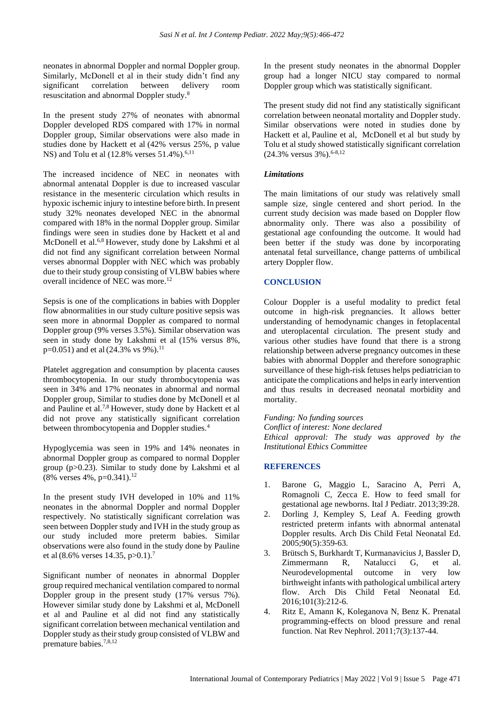neonates in abnormal Doppler and normal Doppler group. Similarly, McDonell et al in their study didn't find any significant correlation between delivery room resuscitation and abnormal Doppler study.<sup>8</sup>

In the present study 27% of neonates with abnormal Doppler developed RDS compared with 17% in normal Doppler group, Similar observations were also made in studies done by Hackett et al (42% versus 25%, p value NS) and Tolu et al  $(12.8\% \text{ versus } 51.4\%).^{6,11}$ 

The increased incidence of NEC in neonates with abnormal antenatal Doppler is due to increased vascular resistance in the mesenteric circulation which results in hypoxic ischemic injury to intestine before birth. In present study 32% neonates developed NEC in the abnormal compared with 18% in the normal Doppler group. Similar findings were seen in studies done by Hackett et al and McDonell et al.6,8 However, study done by Lakshmi et al did not find any significant correlation between Normal verses abnormal Doppler with NEC which was probably due to their study group consisting of VLBW babies where overall incidence of NEC was more.<sup>12</sup>

Sepsis is one of the complications in babies with Doppler flow abnormalities in our study culture positive sepsis was seen more in abnormal Doppler as compared to normal Doppler group (9% verses 3.5%). Similar observation was seen in study done by Lakshmi et al (15% versus 8%,  $p=0.051$ ) and et al (24.3% vs 9%).<sup>11</sup>

Platelet aggregation and consumption by placenta causes thrombocytopenia. In our study thrombocytopenia was seen in 34% and 17% neonates in abnormal and normal Doppler group, Similar to studies done by McDonell et al and Pauline et al.7,8 However, study done by Hackett et al did not prove any statistically significant correlation between thrombocytopenia and Doppler studies.<sup>4</sup>

Hypoglycemia was seen in 19% and 14% neonates in abnormal Doppler group as compared to normal Doppler group (p>0.23). Similar to study done by Lakshmi et al  $(8\%$  verses 4%, p=0.341).<sup>12</sup>

In the present study IVH developed in 10% and 11% neonates in the abnormal Doppler and normal Doppler respectively. No statistically significant correlation was seen between Doppler study and IVH in the study group as our study included more preterm babies. Similar observations were also found in the study done by Pauline et al (8.6% verses 14.35, p>0.1).<sup>7</sup>

Significant number of neonates in abnormal Doppler group required mechanical ventilation compared to normal Doppler group in the present study (17% versus 7%). However similar study done by Lakshmi et al, McDonell et al and Pauline et al did not find any statistically significant correlation between mechanical ventilation and Doppler study as their study group consisted of VLBW and premature babies.<sup>7,8,12</sup>

In the present study neonates in the abnormal Doppler group had a longer NICU stay compared to normal Doppler group which was statistically significant.

The present study did not find any statistically significant correlation between neonatal mortality and Doppler study. Similar observations were noted in studies done by Hackett et al, Pauline et al, McDonell et al but study by Tolu et al study showed statistically significant correlation  $(24.3\%$  versus  $3\%$ ).<sup>6-8,12</sup>

## *Limitations*

The main limitations of our study was relatively small sample size, single centered and short period. In the current study decision was made based on Doppler flow abnormality only. There was also a possibility of gestational age confounding the outcome. It would had been better if the study was done by incorporating antenatal fetal surveillance, change patterns of umbilical artery Doppler flow.

## **CONCLUSION**

Colour Doppler is a useful modality to predict fetal outcome in high-risk pregnancies. It allows better understanding of hemodynamic changes in fetoplacental and uteroplacental circulation. The present study and various other studies have found that there is a strong relationship between adverse pregnancy outcomes in these babies with abnormal Doppler and therefore sonographic surveillance of these high-risk fetuses helps pediatrician to anticipate the complications and helps in early intervention and thus results in decreased neonatal morbidity and mortality.

*Funding: No funding sources Conflict of interest: None declared Ethical approval: The study was approved by the Institutional Ethics Committee*

## **REFERENCES**

- 1. Barone G, Maggio L, Saracino A, Perri A, Romagnoli C, Zecca E. How to feed small for gestational age newborns. Ital J Pediatr. 2013;39:28.
- 2. Dorling J, Kempley S, Leaf A. Feeding growth restricted preterm infants with abnormal antenatal Doppler results. Arch Dis Child Fetal Neonatal Ed. 2005;90(5):359-63.
- 3. Brütsch S, Burkhardt T, Kurmanavicius J, Bassler D, Zimmermann R, Natalucci G, et al. Neurodevelopmental outcome in very low birthweight infants with pathological umbilical artery flow. Arch Dis Child Fetal Neonatal Ed. 2016;101(3):212-6.
- 4. Ritz E, Amann K, Koleganova N, Benz K. Prenatal programming-effects on blood pressure and renal function. Nat Rev Nephrol. 2011;7(3):137-44.